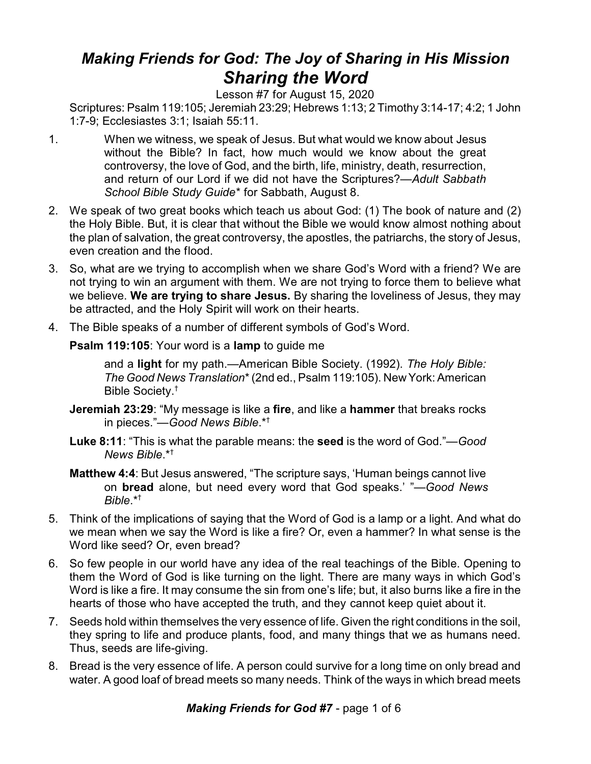## *Making Friends for God: The Joy of Sharing in His Mission Sharing the Word*

Lesson #7 for August 15, 2020

Scriptures: Psalm 119:105; Jeremiah 23:29; Hebrews 1:13; 2 Timothy 3:14-17; 4:2; 1 John 1:7-9; Ecclesiastes 3:1; Isaiah 55:11.

- 1. When we witness, we speak of Jesus. But what would we know about Jesus without the Bible? In fact, how much would we know about the great controversy, the love of God, and the birth, life, ministry, death, resurrection, and return of our Lord if we did not have the Scriptures?—*Adult Sabbath School Bible Study Guide*\* for Sabbath, August 8.
- 2. We speak of two great books which teach us about God: (1) The book of nature and (2) the Holy Bible. But, it is clear that without the Bible we would know almost nothing about the plan of salvation, the great controversy, the apostles, the patriarchs, the story of Jesus, even creation and the flood.
- 3. So, what are we trying to accomplish when we share God's Word with a friend? We are not trying to win an argument with them. We are not trying to force them to believe what we believe. **We are trying to share Jesus.** By sharing the loveliness of Jesus, they may be attracted, and the Holy Spirit will work on their hearts.
- 4. The Bible speaks of a number of different symbols of God's Word.

**Psalm 119:105**: Your word is a **lamp** to guide me

and a **light** for my path.—American Bible Society. (1992). *The Holy Bible: The Good News Translation*\* (2nd ed., Psalm 119:105). New York: American Bible Society. †

- **Jeremiah 23:29**: "My message is like a **fire**, and like a **hammer** that breaks rocks in pieces."—*Good News Bible*.\*†
- **Luke 8:11**: "This is what the parable means: the **seed** is the word of God."—*Good News Bible*.\*†
- **Matthew 4:4**: But Jesus answered, "The scripture says, 'Human beings cannot live on **bread** alone, but need every word that God speaks.' "—*Good News Bible*.\*†
- 5. Think of the implications of saying that the Word of God is a lamp or a light. And what do we mean when we say the Word is like a fire? Or, even a hammer? In what sense is the Word like seed? Or, even bread?
- 6. So few people in our world have any idea of the real teachings of the Bible. Opening to them the Word of God is like turning on the light. There are many ways in which God's Word is like a fire. It may consume the sin from one's life; but, it also burns like a fire in the hearts of those who have accepted the truth, and they cannot keep quiet about it.
- 7. Seeds hold within themselves the very essence of life. Given the right conditions in the soil, they spring to life and produce plants, food, and many things that we as humans need. Thus, seeds are life-giving.
- 8. Bread is the very essence of life. A person could survive for a long time on only bread and water. A good loaf of bread meets so many needs. Think of the ways in which bread meets

*Making Friends for God #7* - page 1 of 6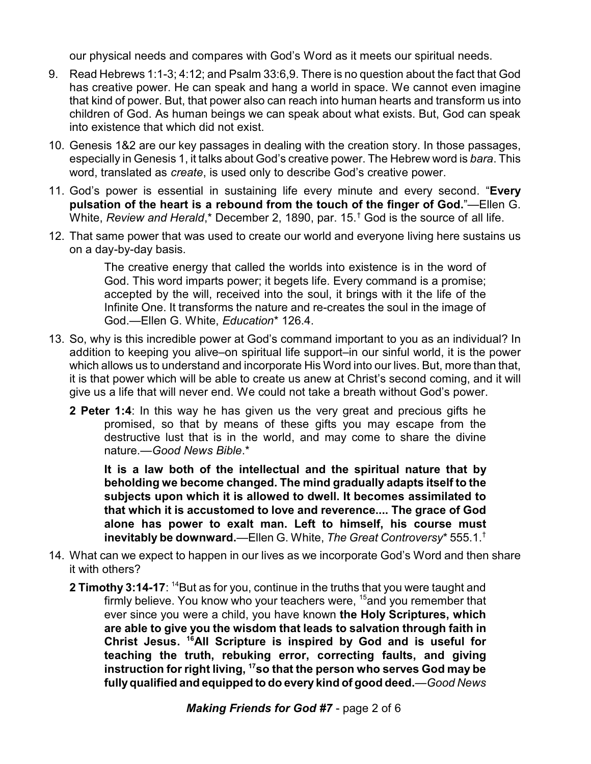our physical needs and compares with God's Word as it meets our spiritual needs.

- 9. Read Hebrews 1:1-3; 4:12; and Psalm 33:6,9. There is no question about the fact that God has creative power. He can speak and hang a world in space. We cannot even imagine that kind of power. But, that power also can reach into human hearts and transform us into children of God. As human beings we can speak about what exists. But, God can speak into existence that which did not exist.
- 10. Genesis 1&2 are our key passages in dealing with the creation story. In those passages, especially in Genesis 1, it talks about God's creative power. The Hebrew word is *bara*. This word, translated as *create*, is used only to describe God's creative power.
- 11. God's power is essential in sustaining life every minute and every second. "**Every pulsation of the heart is a rebound from the touch of the finger of God.**"—Ellen G. White, *Review and Herald*,\* December 2, 1890, par. 15.† God is the source of all life.
- 12. That same power that was used to create our world and everyone living here sustains us on a day-by-day basis.

The creative energy that called the worlds into existence is in the word of God. This word imparts power; it begets life. Every command is a promise; accepted by the will, received into the soul, it brings with it the life of the Infinite One. It transforms the nature and re-creates the soul in the image of God.—Ellen G. White, *Education*\* 126.4.

- 13. So, why is this incredible power at God's command important to you as an individual? In addition to keeping you alive–on spiritual life support–in our sinful world, it is the power which allows us to understand and incorporate His Word into our lives. But, more than that, it is that power which will be able to create us anew at Christ's second coming, and it will give us a life that will never end. We could not take a breath without God's power.
	- **2 Peter 1:4**: In this way he has given us the very great and precious gifts he promised, so that by means of these gifts you may escape from the destructive lust that is in the world, and may come to share the divine nature.—*Good News Bible*.\*

**It is a law both of the intellectual and the spiritual nature that by beholding we become changed. The mind gradually adapts itself to the subjects upon which it is allowed to dwell. It becomes assimilated to that which it is accustomed to love and reverence.... The grace of God alone has power to exalt man. Left to himself, his course must inevitably be downward.**—Ellen G. White, *The Great Controversy*\* 555.1.†

- 14. What can we expect to happen in our lives as we incorporate God's Word and then share it with others?
	- **2 Timothy 3:14-17:** <sup>14</sup>But as for you, continue in the truths that you were taught and firmly believe. You know who your teachers were, <sup>15</sup>and you remember that ever since you were a child, you have known **the Holy Scriptures, which are able to give you the wisdom that leads to salvation through faith in Christ Jesus. <sup>16</sup>All Scripture is inspired by God and is useful for teaching the truth, rebuking error, correcting faults, and giving instruction for right living, <sup>17</sup>so that the person who serves God may be fullyqualified and equipped to do every kind of good deed.**—*Good News*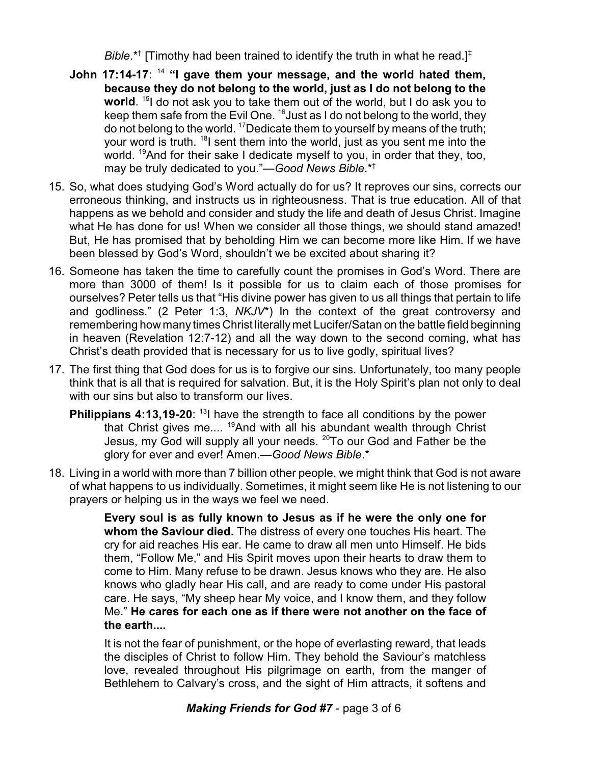Bible.\*<sup>†</sup> [Timothy had been trained to identify the truth in what he read.]<sup>‡</sup>

- **John 17:14-17**: <sup>14</sup> **"I gave them your message, and the world hated them, because they do not belong to the world, just as I do not belong to the world**. 15 I do not ask you to take them out of the world, but I do ask you to keep them safe from the Evil One. <sup>16</sup>Just as I do not belong to the world, they do not belong to the world. <sup>17</sup>Dedicate them to yourself by means of the truth; your word is truth. <sup>18</sup>I sent them into the world, just as you sent me into the world. <sup>19</sup>And for their sake I dedicate myself to you, in order that they, too, may be truly dedicated to you."—*Good News Bible*.\*†
- 15. So, what does studying God's Word actually do for us? It reproves our sins, corrects our erroneous thinking, and instructs us in righteousness. That is true education. All of that happens as we behold and consider and study the life and death of Jesus Christ. Imagine what He has done for us! When we consider all those things, we should stand amazed! But, He has promised that by beholding Him we can become more like Him. If we have been blessed by God's Word, shouldn't we be excited about sharing it?
- 16. Someone has taken the time to carefully count the promises in God's Word. There are more than 3000 of them! Is it possible for us to claim each of those promises for ourselves? Peter tells us that "His divine power has given to us all things that pertain to life and godliness." (2 Peter 1:3, *NKJV*\*) In the context of the great controversy and remembering how many times Christ literally met Lucifer/Satan on the battle field beginning in heaven (Revelation 12:7-12) and all the way down to the second coming, what has Christ's death provided that is necessary for us to live godly, spiritual lives?
- 17. The first thing that God does for us is to forgive our sins. Unfortunately, too many people think that is all that is required for salvation. But, it is the Holy Spirit's plan not only to deal with our sins but also to transform our lives.
	- **Philippians 4:13,19-20**: <sup>13</sup>I have the strength to face all conditions by the power that Christ gives me....<sup>19</sup>And with all his abundant wealth through Christ Jesus, my God will supply all your needs. <sup>20</sup>To our God and Father be the glory for ever and ever! Amen.—*Good News Bible*.\*
- 18. Living in a world with more than 7 billion other people, we might think that God is not aware of what happens to us individually. Sometimes, it might seem like He is not listening to our prayers or helping us in the ways we feel we need.

**Every soul is as fully known to Jesus as if he were the only one for whom the Saviour died.** The distress of every one touches His heart. The cry for aid reaches His ear. He came to draw all men unto Himself. He bids them, "Follow Me," and His Spirit moves upon their hearts to draw them to come to Him. Many refuse to be drawn. Jesus knows who they are. He also knows who gladly hear His call, and are ready to come under His pastoral care. He says, "My sheep hear My voice, and I know them, and they follow Me." **He cares for each one as if there were not another on the face of the earth....**

It is not the fear of punishment, or the hope of everlasting reward, that leads the disciples of Christ to follow Him. They behold the Saviour's matchless love, revealed throughout His pilgrimage on earth, from the manger of Bethlehem to Calvary's cross, and the sight of Him attracts, it softens and

## *Making Friends for God #7* - page 3 of 6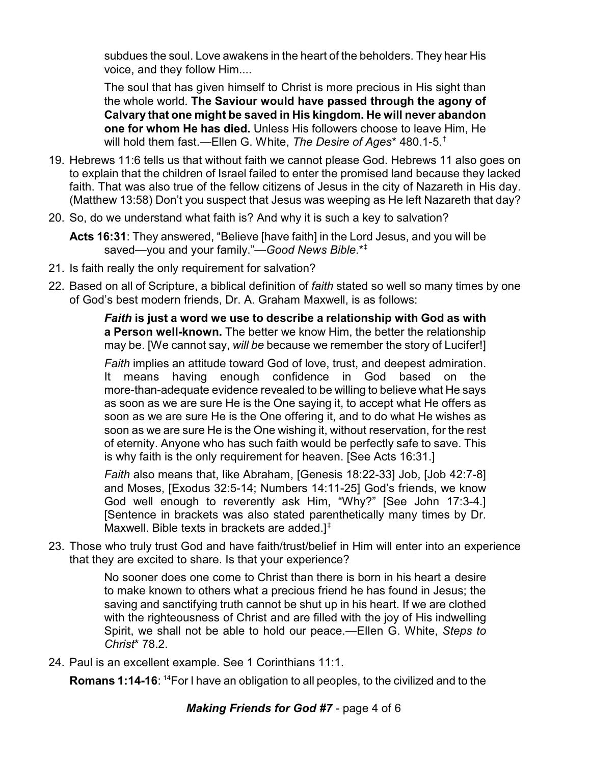subdues the soul. Love awakens in the heart of the beholders. They hear His voice, and they follow Him....

The soul that has given himself to Christ is more precious in His sight than the whole world. **The Saviour would have passed through the agony of Calvary that one might be saved in His kingdom. He will never abandon one for whom He has died.** Unless His followers choose to leave Him, He will hold them fast.—Ellen G. White, *The Desire of Ages*\* 480.1-5.†

- 19. Hebrews 11:6 tells us that without faith we cannot please God. Hebrews 11 also goes on to explain that the children of Israel failed to enter the promised land because they lacked faith. That was also true of the fellow citizens of Jesus in the city of Nazareth in His day. (Matthew 13:58) Don't you suspect that Jesus was weeping as He left Nazareth that day?
- 20. So, do we understand what faith is? And why it is such a key to salvation?

**Acts 16:31**: They answered, "Believe [have faith] in the Lord Jesus, and you will be saved—you and your family."—*Good News Bible*.\*‡

- 21. Is faith really the only requirement for salvation?
- 22. Based on all of Scripture, a biblical definition of *faith* stated so well so many times by one of God's best modern friends, Dr. A. Graham Maxwell, is as follows:

*Faith* **is just a word we use to describe a relationship with God as with a Person well-known.** The better we know Him, the better the relationship may be. [We cannot say, *will be* because we remember the story of Lucifer!]

*Faith* implies an attitude toward God of love, trust, and deepest admiration. It means having enough confidence in God based on the more-than-adequate evidence revealed to be willing to believe what He says as soon as we are sure He is the One saying it, to accept what He offers as soon as we are sure He is the One offering it, and to do what He wishes as soon as we are sure He is the One wishing it, without reservation, for the rest of eternity. Anyone who has such faith would be perfectly safe to save. This is why faith is the only requirement for heaven. [See Acts 16:31.]

*Faith* also means that, like Abraham, [Genesis 18:22-33] Job, [Job 42:7-8] and Moses, [Exodus 32:5-14; Numbers 14:11-25] God's friends, we know God well enough to reverently ask Him, "Why?" [See John 17:3-4.] [Sentence in brackets was also stated parenthetically many times by Dr. Maxwell. Bible texts in brackets are added.] $<sup>‡</sup>$ </sup>

23. Those who truly trust God and have faith/trust/belief in Him will enter into an experience that they are excited to share. Is that your experience?

> No sooner does one come to Christ than there is born in his heart a desire to make known to others what a precious friend he has found in Jesus; the saving and sanctifying truth cannot be shut up in his heart. If we are clothed with the righteousness of Christ and are filled with the joy of His indwelling Spirit, we shall not be able to hold our peace.—Ellen G. White, *Steps to Christ*\* 78.2.

24. Paul is an excellent example. See 1 Corinthians 11:1.

**Romans 1:14-16**: <sup>14</sup>For I have an obligation to all peoples, to the civilized and to the

## *Making Friends for God #7* - page 4 of 6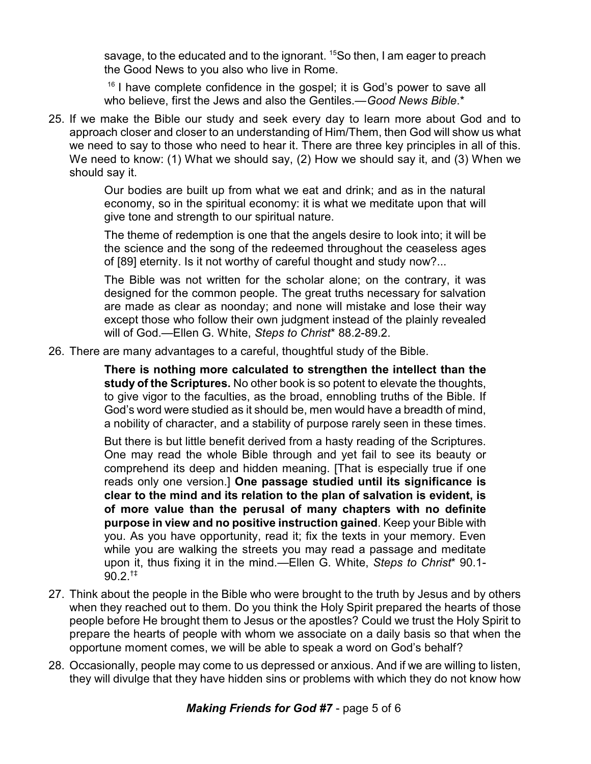savage, to the educated and to the ignorant. <sup>15</sup>So then, I am eager to preach the Good News to you also who live in Rome.

<sup>16</sup> I have complete confidence in the gospel; it is God's power to save all who believe, first the Jews and also the Gentiles.—*Good News Bible*.\*

25. If we make the Bible our study and seek every day to learn more about God and to approach closer and closer to an understanding of Him/Them, then God will show us what we need to say to those who need to hear it. There are three key principles in all of this. We need to know: (1) What we should say, (2) How we should say it, and (3) When we should say it.

> Our bodies are built up from what we eat and drink; and as in the natural economy, so in the spiritual economy: it is what we meditate upon that will give tone and strength to our spiritual nature.

> The theme of redemption is one that the angels desire to look into; it will be the science and the song of the redeemed throughout the ceaseless ages of [89] eternity. Is it not worthy of careful thought and study now?...

> The Bible was not written for the scholar alone; on the contrary, it was designed for the common people. The great truths necessary for salvation are made as clear as noonday; and none will mistake and lose their way except those who follow their own judgment instead of the plainly revealed will of God.—Ellen G. White, *Steps to Christ*\* 88.2-89.2.

26. There are many advantages to a careful, thoughtful study of the Bible.

**There is nothing more calculated to strengthen the intellect than the study of the Scriptures.** No other book is so potent to elevate the thoughts, to give vigor to the faculties, as the broad, ennobling truths of the Bible. If God's word were studied as it should be, men would have a breadth of mind, a nobility of character, and a stability of purpose rarely seen in these times.

But there is but little benefit derived from a hasty reading of the Scriptures. One may read the whole Bible through and yet fail to see its beauty or comprehend its deep and hidden meaning. [That is especially true if one reads only one version.] **One passage studied until its significance is clear to the mind and its relation to the plan of salvation is evident, is of more value than the perusal of many chapters with no definite purpose in view and no positive instruction gained**. Keep your Bible with you. As you have opportunity, read it; fix the texts in your memory. Even while you are walking the streets you may read a passage and meditate upon it, thus fixing it in the mind.—Ellen G. White, *Steps to Christ*\* 90.1-  $90.2^{+1}$ 

- 27. Think about the people in the Bible who were brought to the truth by Jesus and by others when they reached out to them. Do you think the Holy Spirit prepared the hearts of those people before He brought them to Jesus or the apostles? Could we trust the Holy Spirit to prepare the hearts of people with whom we associate on a daily basis so that when the opportune moment comes, we will be able to speak a word on God's behalf?
- 28. Occasionally, people may come to us depressed or anxious. And if we are willing to listen, they will divulge that they have hidden sins or problems with which they do not know how